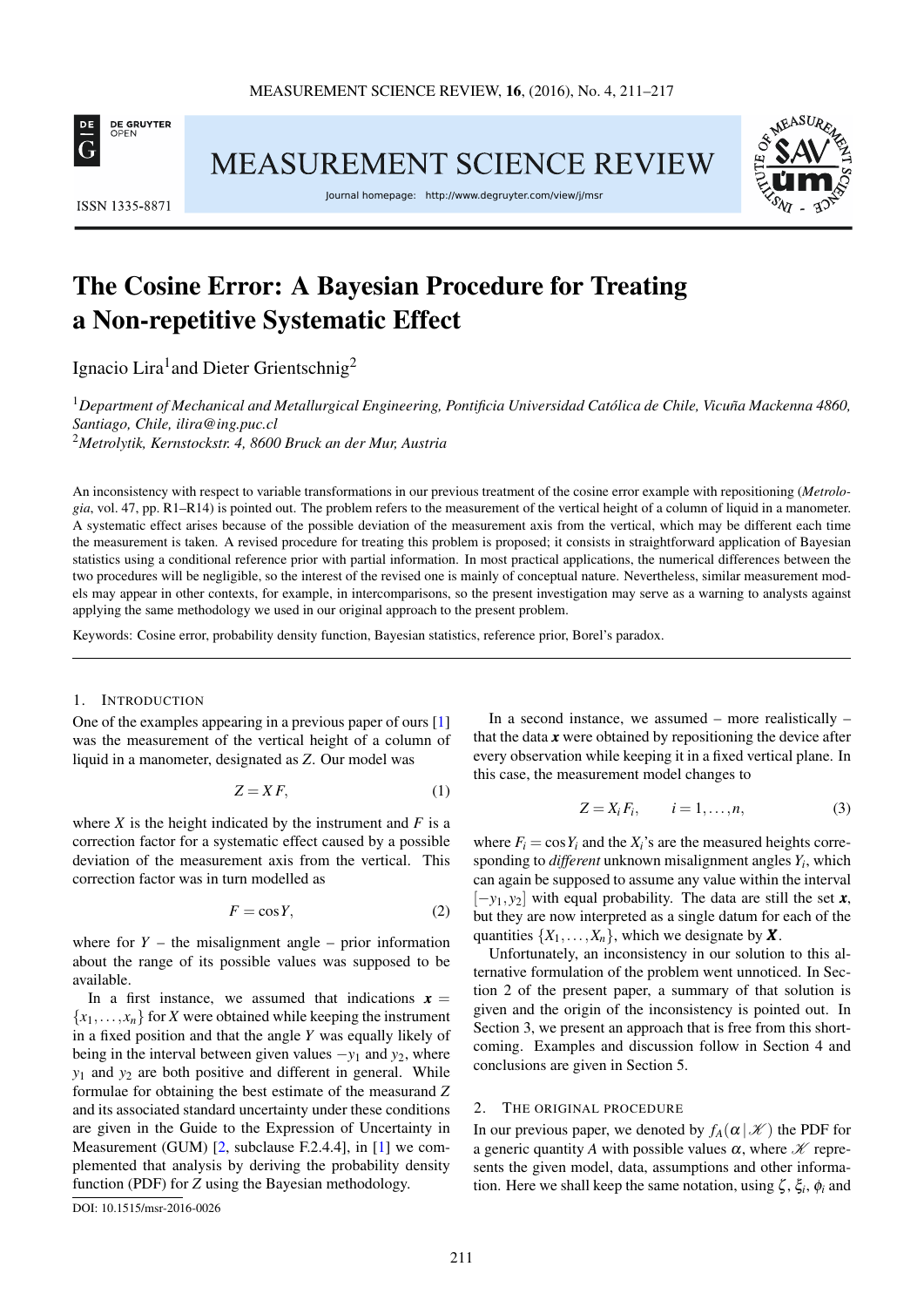

**ISSN 1335-8871** 

MEASUREMENT SCIENCE REVIEW

Journal homepage: http://www.degruyter.com/view/j/msr



# The Cosine Error: A Bayesian Procedure for Treating a Non-repetitive Systematic Effect

Ignacio Lira<sup>1</sup> and Dieter Grientschnig<sup>2</sup>

<sup>1</sup>Department of Mechanical and Metallurgical Engineering, Pontificia Universidad Católica de Chile, Vicuña Mackenna 4860, *Santiago, Chile, [ilira@ing.puc.cl](mailto:ilira@ing.puc.cl)*

<sup>2</sup>*Metrolytik, Kernstockstr. 4, 8600 Bruck an der Mur, Austria*

An inconsistency with respect to variable transformations in our previous treatment of the cosine error example with repositioning (*Metrologia*, vol. 47, pp. R1–R14) is pointed out. The problem refers to the measurement of the vertical height of a column of liquid in a manometer. A systematic effect arises because of the possible deviation of the measurement axis from the vertical, which may be different each time the measurement is taken. A revised procedure for treating this problem is proposed; it consists in straightforward application of Bayesian statistics using a conditional reference prior with partial information. In most practical applications, the numerical differences between the two procedures will be negligible, so the interest of the revised one is mainly of conceptual nature. Nevertheless, similar measurement models may appear in other contexts, for example, in intercomparisons, so the present investigation may serve as a warning to analysts against applying the same methodology we used in our original approach to the present problem.

Keywords: Cosine error, probability density function, Bayesian statistics, reference prior, Borel's paradox.

#### 1. INTRODUCTION

One of the examples appearing in a previous paper of ours [\[1\]](#page-6-0) was the measurement of the vertical height of a column of liquid in a manometer, designated as *Z*. Our model was

$$
Z = XF,\tag{1}
$$

where  $X$  is the height indicated by the instrument and  $F$  is a correction factor for a systematic effect caused by a possible deviation of the measurement axis from the vertical. This correction factor was in turn modelled as

$$
F = \cos Y,\tag{2}
$$

where for  $Y$  – the misalignment angle – prior information about the range of its possible values was supposed to be available.

In a first instance, we assumed that indications  $x =$  ${x_1, \ldots, x_n}$  for *X* were obtained while keeping the instrument in a fixed position and that the angle *Y* was equally likely of being in the interval between given values −*y*<sup>1</sup> and *y*2, where *y*<sup>1</sup> and *y*<sup>2</sup> are both positive and different in general. While formulae for obtaining the best estimate of the measurand *Z* and its associated standard uncertainty under these conditions are given in the Guide to the Expression of Uncertainty in Measurement (GUM) [\[2,](#page-6-1) subclause F.2.4.4], in [\[1\]](#page-6-0) we complemented that analysis by deriving the probability density function (PDF) for *Z* using the Bayesian methodology.

[DOI: 10.1515/msr-2016-0026](http://dx.doi.org/10.1515/msr-2016-0026)

In a second instance, we assumed – more realistically – that the data  $x$  were obtained by repositioning the device after every observation while keeping it in a fixed vertical plane. In this case, the measurement model changes to

<span id="page-0-1"></span>
$$
Z = X_i F_i, \qquad i = 1, \dots, n,
$$
\n(3)

where  $F_i = \cos Y_i$  and the  $X_i$ 's are the measured heights corresponding to *different* unknown misalignment angles *Y<sup>i</sup>* , which can again be supposed to assume any value within the interval [−*y*1, *y*2] with equal probability. The data are still the set *x*, but they are now interpreted as a single datum for each of the quantities  $\{X_1, \ldots, X_n\}$ , which we designate by **X**.

Unfortunately, an inconsistency in our solution to this alternative formulation of the problem went unnoticed. In Section [2](#page-0-0) of the present paper, a summary of that solution is given and the origin of the inconsistency is pointed out. In Section [3,](#page-2-0) we present an approach that is free from this shortcoming. Examples and discussion follow in Section [4](#page-2-1) and conclusions are given in Section [5.](#page-4-0)

#### <span id="page-0-0"></span>2. THE ORIGINAL PROCEDURE

In our previous paper, we denoted by  $f_A(\alpha | \mathcal{K})$  the PDF for a generic quantity *A* with possible values  $\alpha$ , where  $\mathcal{K}$  represents the given model, data, assumptions and other information. Here we shall keep the same notation, using  $\zeta$ ,  $\xi_i$ ,  $\phi_i$  and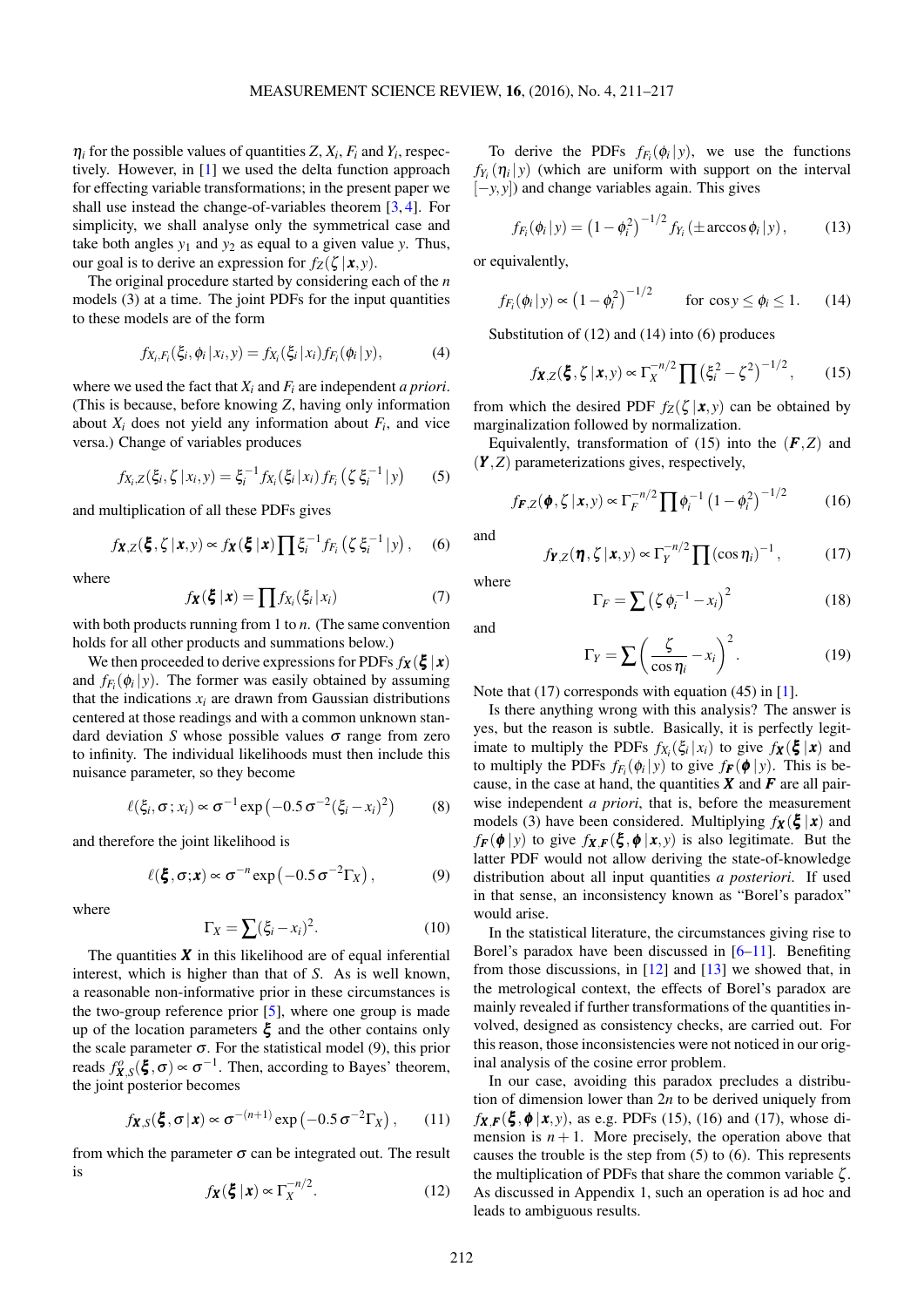$\eta_i$  for the possible values of quantities *Z*,  $X_i$ ,  $F_i$  and  $Y_i$ , respectively. However, in [\[1\]](#page-6-0) we used the delta function approach for effecting variable transformations; in the present paper we shall use instead the change-of-variables theorem [\[3,](#page-6-2) [4\]](#page-6-3). For simplicity, we shall analyse only the symmetrical case and take both angles  $y_1$  and  $y_2$  as equal to a given value  $y$ . Thus, our goal is to derive an expression for  $f_Z(\zeta | \mathbf{x}, y)$ .

The original procedure started by considering each of the *n* models [\(3\)](#page-0-1) at a time. The joint PDFs for the input quantities to these models are of the form

$$
f_{X_i, F_i}(\xi_i, \phi_i | x_i, y) = f_{X_i}(\xi_i | x_i) f_{F_i}(\phi_i | y), \tag{4}
$$

where we used the fact that *X<sup>i</sup>* and *F<sup>i</sup>* are independent *a priori*. (This is because, before knowing *Z*, having only information about  $X_i$  does not yield any information about  $F_i$ , and vice versa.) Change of variables produces

$$
f_{X_i, Z}(\xi_i, \zeta | x_i, y) = \xi_i^{-1} f_{X_i}(\xi_i | x_i) f_{F_i}(\zeta \xi_i^{-1} | y)
$$
 (5)

and multiplication of all these PDFs gives

$$
f_{\boldsymbol{X},Z}(\boldsymbol{\xi},\zeta\,|\,\boldsymbol{x},y) \propto f_{\boldsymbol{X}}(\boldsymbol{\xi}\,|\,\boldsymbol{x}) \prod \xi_i^{-1} f_{F_i}\left(\zeta\,\xi_i^{-1}\,|\,y\right),\quad (6)
$$

where

$$
f_{\mathbf{X}}(\boldsymbol{\xi} \,|\, \mathbf{x}) = \prod f_{X_i}(\xi_i \,|\, x_i) \tag{7}
$$

with both products running from 1 to *n*. (The same convention holds for all other products and summations below.)

We then proceeded to derive expressions for PDFs  $f_{\mathbf{X}}(\boldsymbol{\xi} | \mathbf{x})$ and  $f_{F_i}(\phi_i | y)$ . The former was easily obtained by assuming that the indications  $x_i$  are drawn from Gaussian distributions centered at those readings and with a common unknown standard deviation *S* whose possible values σ range from zero to infinity. The individual likelihoods must then include this nuisance parameter, so they become

$$
\ell(\xi_i, \sigma; x_i) \propto \sigma^{-1} \exp(-0.5 \sigma^{-2} (\xi_i - x_i)^2)
$$
 (8)

and therefore the joint likelihood is

$$
\ell(\boldsymbol{\xi}, \sigma; \mathbf{x}) \propto \sigma^{-n} \exp\left(-0.5 \sigma^{-2} \Gamma_X\right),\tag{9}
$$

where

<span id="page-1-0"></span>
$$
\Gamma_X = \sum (\xi_i - x_i)^2. \tag{10}
$$

The quantities  $\boldsymbol{X}$  in this likelihood are of equal inferential interest, which is higher than that of *S*. As is well known, a reasonable non-informative prior in these circumstances is the two-group reference prior  $[5]$ , where one group is made up of the location parameters  $\xi$  and the other contains only the scale parameter  $\sigma$ . For the statistical model [\(9\)](#page-1-0), this prior reads  $f_{\mathbf{X},S}^o(\boldsymbol{\xi},\sigma) \propto \sigma^{-1}$ . Then, according to Bayes' theorem, the joint posterior becomes

$$
f_{\mathbf{X},S}(\boldsymbol{\xi},\sigma|\mathbf{x}) \propto \sigma^{-(n+1)} \exp(-0.5\sigma^{-2}\Gamma_X),
$$
 (11)

<span id="page-1-1"></span>from which the parameter  $\sigma$  can be integrated out. The result is

<span id="page-1-8"></span>
$$
f_{\mathbf{X}}(\boldsymbol{\xi} \,|\, \mathbf{x}) \propto \Gamma_X^{-n/2}.\tag{12}
$$

To derive the PDFs  $f_{F_i}(\phi_i|y)$ , we use the functions  $f_{Y_i}(\eta_i|y)$  (which are uniform with support on the interval [−*y*, *y*]) and change variables again. This gives

<span id="page-1-2"></span>
$$
f_{F_i}(\phi_i | y) = (1 - \phi_i^2)^{-1/2} f_{Y_i} (\pm \arccos \phi_i | y), \quad (13)
$$

or equivalently,

$$
f_{F_i}(\phi_i|y) \propto \left(1 - \phi_i^2\right)^{-1/2} \qquad \text{for } \cos y \le \phi_i \le 1. \tag{14}
$$

Substitution of [\(12\)](#page-1-1) and [\(14\)](#page-1-2) into [\(6\)](#page-1-3) produces

<span id="page-1-4"></span>
$$
f_{\mathbf{X},Z}(\xi,\zeta|\mathbf{x},y) \propto \Gamma_X^{-n/2} \prod (\xi_i^2 - \zeta^2)^{-1/2},
$$
 (15)

from which the desired PDF  $f_Z(\zeta | x, y)$  can be obtained by marginalization followed by normalization.

<span id="page-1-7"></span>Equivalently, transformation of [\(15\)](#page-1-4) into the  $(F,Z)$  and (*Y* ,*Z*) parameterizations gives, respectively,

$$
f_{F,Z}(\phi, \zeta | \mathbf{x}, y) \propto \Gamma_F^{-n/2} \prod \phi_i^{-1} (1 - \phi_i^2)^{-1/2}
$$
 (16)

<span id="page-1-5"></span><span id="page-1-3"></span>and

$$
f_{\boldsymbol{Y},Z}(\boldsymbol{\eta}, \zeta | \boldsymbol{x}, y) \propto \Gamma_Y^{-n/2} \prod (\cos \eta_i)^{-1},
$$
 (17)

<span id="page-1-9"></span>where

<span id="page-1-6"></span>
$$
\Gamma_F = \sum \left( \zeta \, \phi_i^{-1} - x_i \right)^2 \tag{18}
$$

and

$$
\Gamma_Y = \sum \left( \frac{\zeta}{\cos \eta_i} - x_i \right)^2.
$$
 (19)

Note that [\(17\)](#page-1-5) corresponds with equation (45) in [\[1\]](#page-6-0).

Is there anything wrong with this analysis? The answer is yes, but the reason is subtle. Basically, it is perfectly legitimate to multiply the PDFs  $f_{X_i}(\xi_i|x_i)$  to give  $f_{\mathbf{X}}(\xi | \mathbf{x})$  and to multiply the PDFs  $f_{F_i}(\phi_i|y)$  to give  $f_{\mathbf{F}}(\phi|y)$ . This is because, in the case at hand, the quantities  $X$  and  $F$  are all pairwise independent *a priori*, that is, before the measurement models [\(3\)](#page-0-1) have been considered. Multiplying  $f_{\mathbf{X}}(\boldsymbol{\xi} | \mathbf{x})$  and  $f_F(\phi | y)$  to give  $f_{\mathbf{X},F}(\xi, \phi | \mathbf{x}, y)$  is also legitimate. But the latter PDF would not allow deriving the state-of-knowledge distribution about all input quantities *a posteriori*. If used in that sense, an inconsistency known as "Borel's paradox" would arise.

In the statistical literature, the circumstances giving rise to Borel's paradox have been discussed in  $[6-11]$  $[6-11]$ . Benefiting from those discussions, in  $[12]$  and  $[13]$  we showed that, in the metrological context, the effects of Borel's paradox are mainly revealed if further transformations of the quantities involved, designed as consistency checks, are carried out. For this reason, those inconsistencies were not noticed in our original analysis of the cosine error problem.

In our case, avoiding this paradox precludes a distribution of dimension lower than 2*n* to be derived uniquely from  $f_{\mathbf{X}}$   $\mathbf{F}(\xi, \phi | \mathbf{x}, y)$ , as e.g. PDFs [\(15\)](#page-1-4), [\(16\)](#page-1-6) and [\(17\)](#page-1-5), whose dimension is  $n + 1$ . More precisely, the operation above that causes the trouble is the step from [\(5\)](#page-1-7) to [\(6\)](#page-1-3). This represents the multiplication of PDFs that share the common variable  $\zeta$ . As discussed in Appendix 1, such an operation is ad hoc and leads to ambiguous results.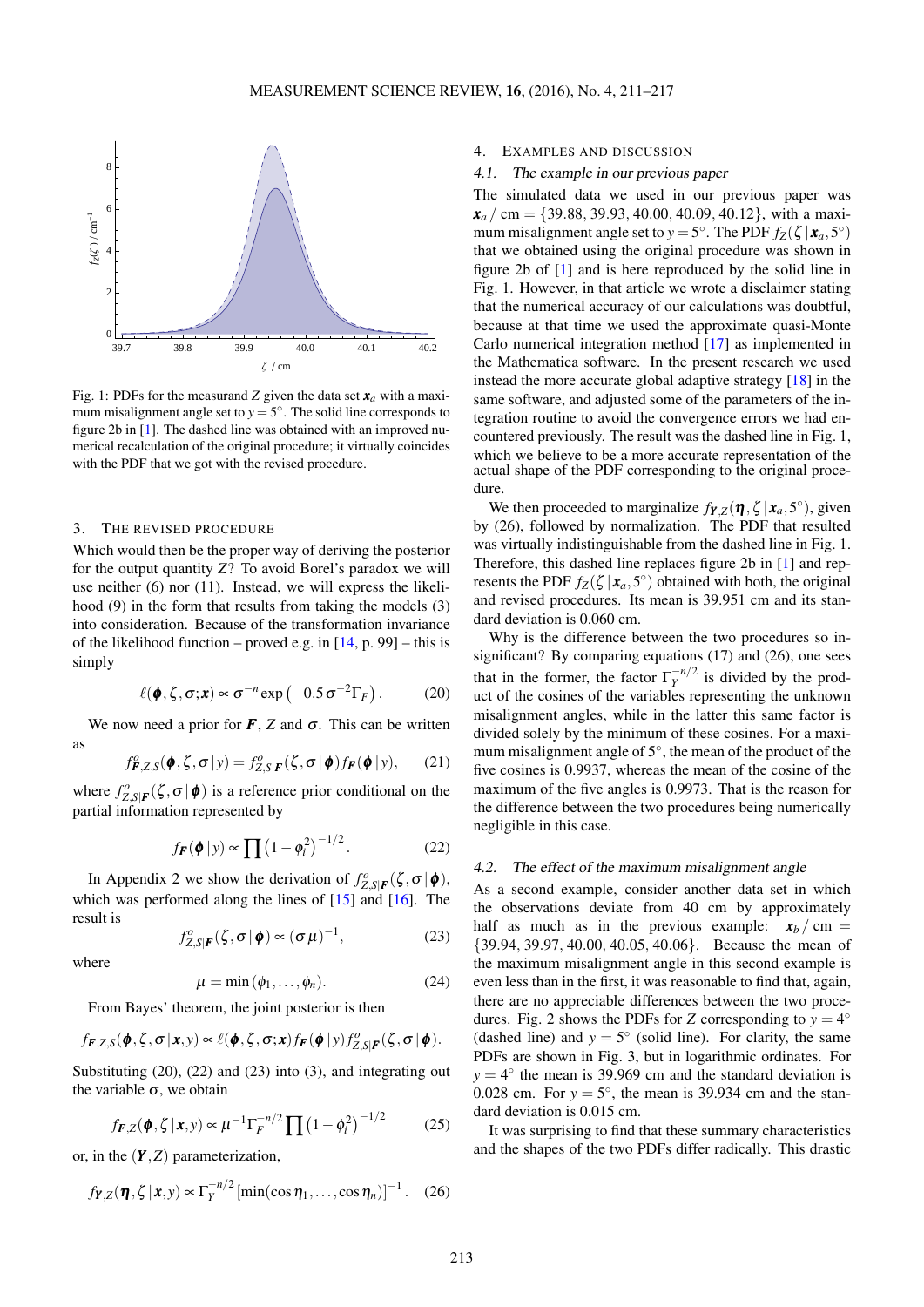<span id="page-2-6"></span>

Fig. 1: PDFs for the measurand *Z* given the data set  $x_a$  with a maximum misalignment angle set to  $y = 5^\circ$ . The solid line corresponds to figure 2b in [\[1\]](#page-6-0). The dashed line was obtained with an improved numerical recalculation of the original procedure; it virtually coincides with the PDF that we got with the revised procedure.

#### <span id="page-2-0"></span>3. THE REVISED PROCEDURE

Which would then be the proper way of deriving the posterior for the output quantity *Z*? To avoid Borel's paradox we will use neither [\(6\)](#page-1-3) nor [\(11\)](#page-1-8). Instead, we will express the likelihood [\(9\)](#page-1-0) in the form that results from taking the models [\(3\)](#page-0-1) into consideration. Because of the transformation invariance of the likelihood function – proved e.g. in  $[14, p. 99]$  $[14, p. 99]$  – this is simply

<span id="page-2-2"></span>
$$
\ell(\pmb{\phi}, \zeta, \sigma; \mathbf{x}) \propto \sigma^{-n} \exp\left(-0.5 \sigma^{-2} \Gamma_F\right). \tag{20}
$$

We now need a prior for  $\vec{F}$ ,  $\vec{Z}$  and  $\vec{\sigma}$ . This can be written as

$$
f_{\boldsymbol{F},Z,S}^{\rho}(\boldsymbol{\phi},\zeta,\boldsymbol{\sigma}|y)=f_{Z,S|\boldsymbol{F}}^{\rho}(\zeta,\boldsymbol{\sigma}|\boldsymbol{\phi})f_{\boldsymbol{F}}(\boldsymbol{\phi}|y),\qquad(21)
$$

where  $f_{Z,S|F}^o(\zeta, \sigma | \phi)$  is a reference prior conditional on the partial information represented by

<span id="page-2-3"></span>
$$
f_{\boldsymbol{F}}(\boldsymbol{\phi} \,|\, \mathbf{y}) \propto \prod \left(1 - \phi_i^2\right)^{-1/2}.\tag{22}
$$

In Appendix 2 we show the derivation of  $f_{Z,S|F}^o(\zeta, \sigma | \phi)$ , which was performed along the lines of  $[15]$  and  $[16]$ . The result is

<span id="page-2-4"></span>
$$
f_{Z,S|F}^{o}(\zeta,\sigma|\phi) \propto (\sigma\mu)^{-1}, \qquad (23)
$$

<span id="page-2-5"></span>where

$$
\mu = \min(\phi_1, \dots, \phi_n). \tag{24}
$$

From Bayes' theorem, the joint posterior is then

$$
f_{\boldsymbol{F},Z,S}(\boldsymbol{\phi},\boldsymbol{\zeta},\boldsymbol{\sigma}|\boldsymbol{x},y) \propto \ell(\boldsymbol{\phi},\boldsymbol{\zeta},\boldsymbol{\sigma};\boldsymbol{x})f_{\boldsymbol{F}}(\boldsymbol{\phi}|y)f_{Z,S|\boldsymbol{F}}^o(\boldsymbol{\zeta},\boldsymbol{\sigma}|\boldsymbol{\phi}).
$$

Substituting [\(20\)](#page-2-2), [\(22\)](#page-2-3) and [\(23\)](#page-2-4) into [\(3\)](#page-2-5), and integrating out the variable  $\sigma$ , we obtain

<span id="page-2-7"></span>
$$
f_{F,Z}(\phi, \zeta | x, y) \propto \mu^{-1} \Gamma_F^{-n/2} \prod (1 - \phi_i^2)^{-1/2}
$$
 (25)

or, in the (*Y* ,*Z*) parameterization,

$$
f_{\boldsymbol{Y},Z}(\boldsymbol{\eta}, \zeta | \boldsymbol{x}, y) \propto \Gamma_Y^{-n/2} \left[ \min(\cos \eta_1, \dots, \cos \eta_n) \right]^{-1}
$$
. (26)

#### <span id="page-2-1"></span>4. EXAMPLES AND DISCUSSION

#### 4.1. The example in our previous paper

The simulated data we used in our previous paper was  $x_a$  / cm = {39.88, 39.93, 40.00, 40.09, 40.12}, with a maximum misalignment angle set to  $y = 5^\circ$ . The PDF  $f_Z(\zeta | \mathbf{x}_a, 5^\circ)$ that we obtained using the original procedure was shown in figure 2b of [\[1\]](#page-6-0) and is here reproduced by the solid line in Fig. [1.](#page-2-6) However, in that article we wrote a disclaimer stating that the numerical accuracy of our calculations was doubtful, because at that time we used the approximate quasi-Monte Carlo numerical integration method [\[17\]](#page-6-12) as implemented in the Mathematica software. In the present research we used instead the more accurate global adaptive strategy [\[18\]](#page-6-13) in the same software, and adjusted some of the parameters of the integration routine to avoid the convergence errors we had encountered previously. The result was the dashed line in Fig. [1,](#page-2-6) which we believe to be a more accurate representation of the actual shape of the PDF corresponding to the original procedure.

We then proceeded to marginalize  $f_{\boldsymbol{Y},Z}(\boldsymbol{\eta}, \zeta | \mathbf{x}_a, 5^\circ)$ , given by [\(26\)](#page-2-7), followed by normalization. The PDF that resulted was virtually indistinguishable from the dashed line in Fig. [1.](#page-2-6) Therefore, this dashed line replaces figure 2b in [\[1\]](#page-6-0) and represents the PDF  $f_Z(\zeta | \mathbf{x}_a, 5^\circ)$  obtained with both, the original and revised procedures. Its mean is 39.951 cm and its standard deviation is 0.060 cm.

Why is the difference between the two procedures so insignificant? By comparing equations [\(17\)](#page-1-5) and [\(26\)](#page-2-7), one sees that in the former, the factor  $\Gamma_Y^{-n/2}$  $\frac{m}{\gamma}$  is divided by the product of the cosines of the variables representing the unknown misalignment angles, while in the latter this same factor is divided solely by the minimum of these cosines. For a maximum misalignment angle of 5°, the mean of the product of the five cosines is 0.9937, whereas the mean of the cosine of the maximum of the five angles is 0.9973. That is the reason for the difference between the two procedures being numerically negligible in this case.

#### 4.2. The effect of the maximum misalignment angle

As a second example, consider another data set in which the observations deviate from 40 cm by approximately half as much as in the previous example:  $x_b$  / cm = {39.94, 39.97, 40.00, 40.05, 40.06}. Because the mean of the maximum misalignment angle in this second example is even less than in the first, it was reasonable to find that, again, there are no appreciable differences between the two proce-dures. Fig. [2](#page-3-0) shows the PDFs for *Z* corresponding to  $y = 4^\circ$ (dashed line) and  $y = 5^\circ$  (solid line). For clarity, the same PDFs are shown in Fig. [3,](#page-3-1) but in logarithmic ordinates. For  $y = 4^\circ$  the mean is 39.969 cm and the standard deviation is 0.028 cm. For  $y = 5^\circ$ , the mean is 39.934 cm and the standard deviation is 0.015 cm.

It was surprising to find that these summary characteristics and the shapes of the two PDFs differ radically. This drastic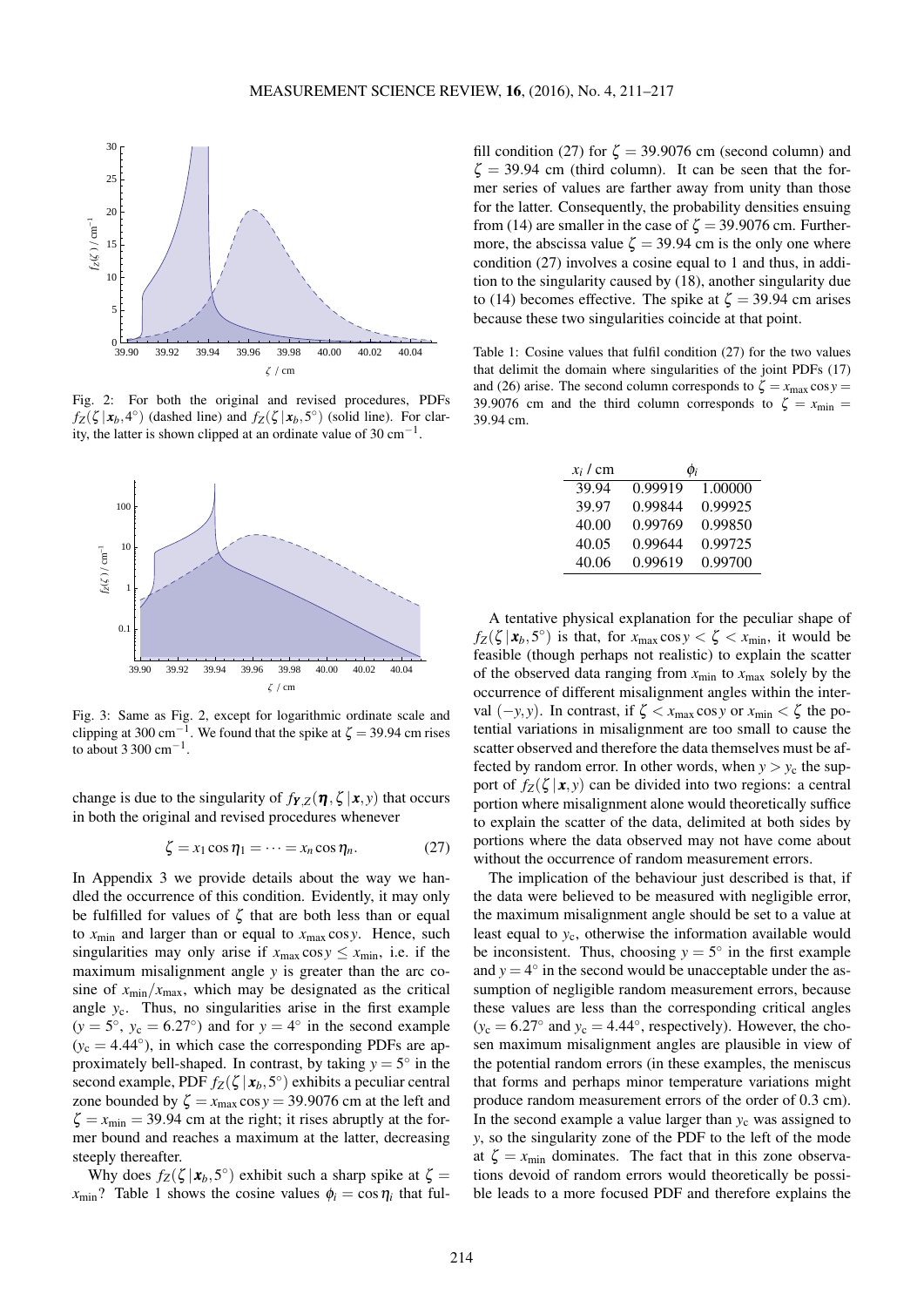<span id="page-3-0"></span>

Fig. 2: For both the original and revised procedures, PDFs  $f_Z(\zeta | x_b, 4^\circ)$  (dashed line) and  $f_Z(\zeta | x_b, 5^\circ)$  (solid line). For clarity, the latter is shown clipped at an ordinate value of 30  $cm^{-1}$ .

<span id="page-3-1"></span>

Fig. 3: Same as Fig. [2,](#page-3-0) except for logarithmic ordinate scale and clipping at 300 cm−<sup>1</sup> . We found that the spike at  $\zeta = 39.94$  cm rises to about 3 300 cm<sup>-1</sup>.

change is due to the singularity of  $f_{\mathbf{Y},Z}(\boldsymbol{\eta}, \zeta | \mathbf{x}, y)$  that occurs in both the original and revised procedures whenever

$$
\zeta = x_1 \cos \eta_1 = \dots = x_n \cos \eta_n. \tag{27}
$$

In Appendix 3 we provide details about the way we handled the occurrence of this condition. Evidently, it may only be fulfilled for values of  $\zeta$  that are both less than or equal to  $x_{\text{min}}$  and larger than or equal to  $x_{\text{max}} \cos y$ . Hence, such singularities may only arise if  $x_{\text{max}} \cos y \leq x_{\text{min}}$ , i.e. if the maximum misalignment angle *y* is greater than the arc cosine of  $x_{\text{min}}/x_{\text{max}}$ , which may be designated as the critical angle  $y_c$ . Thus, no singularities arise in the first example  $(y = 5^\circ, y_c = 6.27^\circ)$  and for  $y = 4^\circ$  in the second example  $(y_c = 4.44°)$ , in which case the corresponding PDFs are approximately bell-shaped. In contrast, by taking  $y = 5^\circ$  in the second example, PDF  $f_Z(\zeta | \mathbf{x}_b, 5^\circ)$  exhibits a peculiar central zone bounded by  $\zeta = x_{\text{max}} \cos y = 39.9076 \text{ cm}$  at the left and  $\zeta = x_{\text{min}} = 39.94$  cm at the right; it rises abruptly at the former bound and reaches a maximum at the latter, decreasing steeply thereafter.

Why does  $f_Z(\zeta | x_b, 5^\circ)$  exhibit such a sharp spike at  $\zeta =$  $x_{\text{min}}$ ? Table 1 shows the cosine values  $\phi_i = \cos \eta_i$  that ful-

fill condition [\(27\)](#page-3-2) for  $\zeta = 39.9076$  cm (second column) and  $\zeta = 39.94$  cm (third column). It can be seen that the former series of values are farther away from unity than those for the latter. Consequently, the probability densities ensuing from [\(14\)](#page-1-2) are smaller in the case of  $\zeta = 39.9076$  cm. Furthermore, the abscissa value  $\zeta = 39.94$  cm is the only one where condition [\(27\)](#page-3-2) involves a cosine equal to 1 and thus, in addition to the singularity caused by [\(18\)](#page-1-9), another singularity due to [\(14\)](#page-1-2) becomes effective. The spike at  $\zeta = 39.94$  cm arises because these two singularities coincide at that point.

Table 1: Cosine values that fulfil condition [\(27\)](#page-3-2) for the two values that delimit the domain where singularities of the joint PDFs [\(17\)](#page-1-5) and [\(26\)](#page-2-7) arise. The second column corresponds to  $\zeta = x_{\text{max}} \cos y =$ 39.9076 cm and the third column corresponds to  $\zeta = x_{\text{min}} =$ 39.94 cm.

| $x_i$ / cm | $\phi_i$ |         |
|------------|----------|---------|
| 39.94      | 0.99919  | 1.00000 |
| 39.97      | 0.99844  | 0.99925 |
| 40.00      | 0.99769  | 0.99850 |
| 40.05      | 0.99644  | 0.99725 |
| 40.06      | 0.99619  | 0.99700 |

A tentative physical explanation for the peculiar shape of  $f_Z(\zeta | \mathbf{x}_b, 5^\circ)$  is that, for  $x_{\text{max}} \cos y < \zeta < x_{\text{min}}$ , it would be feasible (though perhaps not realistic) to explain the scatter of the observed data ranging from  $x_{\text{min}}$  to  $x_{\text{max}}$  solely by the occurrence of different misalignment angles within the interval  $(-y, y)$ . In contrast, if  $\zeta < x_{\text{max}} \cos y$  or  $x_{\text{min}} < \zeta$  the potential variations in misalignment are too small to cause the scatter observed and therefore the data themselves must be affected by random error. In other words, when  $y > y_c$  the support of  $f_Z(\zeta | \mathbf{x}, y)$  can be divided into two regions: a central portion where misalignment alone would theoretically suffice to explain the scatter of the data, delimited at both sides by portions where the data observed may not have come about without the occurrence of random measurement errors.

<span id="page-3-2"></span>The implication of the behaviour just described is that, if the data were believed to be measured with negligible error, the maximum misalignment angle should be set to a value at least equal to *y*c, otherwise the information available would be inconsistent. Thus, choosing  $y = 5^\circ$  in the first example and  $y = 4^\circ$  in the second would be unacceptable under the assumption of negligible random measurement errors, because these values are less than the corresponding critical angles  $(y_c = 6.27°$  and  $y_c = 4.44°$ , respectively). However, the chosen maximum misalignment angles are plausible in view of the potential random errors (in these examples, the meniscus that forms and perhaps minor temperature variations might produce random measurement errors of the order of 0.3 cm). In the second example a value larger than  $y_c$  was assigned to *y*, so the singularity zone of the PDF to the left of the mode at  $\zeta = x_{\text{min}}$  dominates. The fact that in this zone observations devoid of random errors would theoretically be possible leads to a more focused PDF and therefore explains the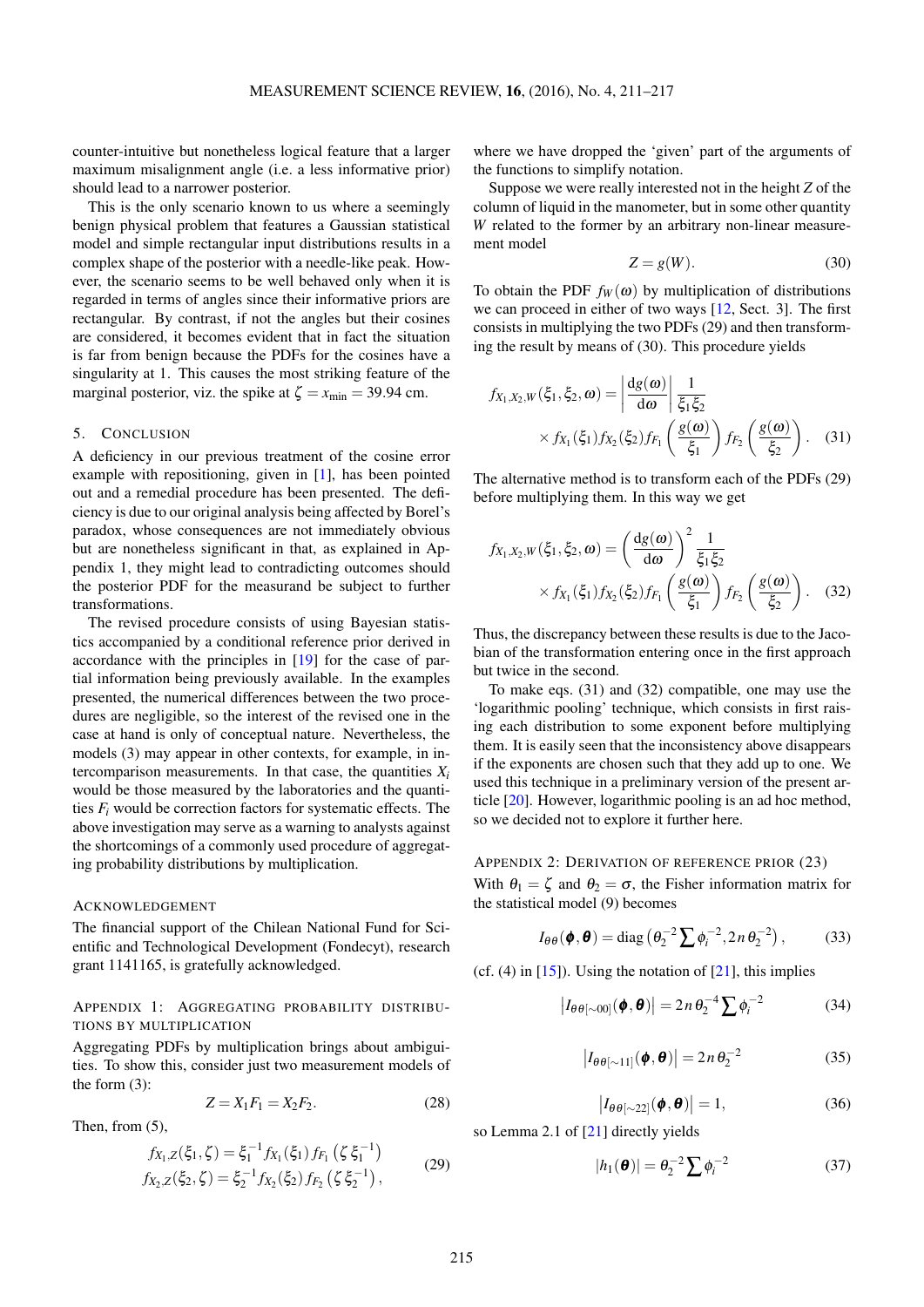counter-intuitive but nonetheless logical feature that a larger maximum misalignment angle (i.e. a less informative prior) should lead to a narrower posterior.

This is the only scenario known to us where a seemingly benign physical problem that features a Gaussian statistical model and simple rectangular input distributions results in a complex shape of the posterior with a needle-like peak. However, the scenario seems to be well behaved only when it is regarded in terms of angles since their informative priors are rectangular. By contrast, if not the angles but their cosines are considered, it becomes evident that in fact the situation is far from benign because the PDFs for the cosines have a singularity at 1. This causes the most striking feature of the marginal posterior, viz. the spike at  $\zeta = x_{\text{min}} = 39.94 \text{ cm}$ .

## <span id="page-4-0"></span>5. CONCLUSION

A deficiency in our previous treatment of the cosine error example with repositioning, given in [\[1\]](#page-6-0), has been pointed out and a remedial procedure has been presented. The deficiency is due to our original analysis being affected by Borel's paradox, whose consequences are not immediately obvious but are nonetheless significant in that, as explained in Appendix 1, they might lead to contradicting outcomes should the posterior PDF for the measurand be subject to further transformations.

The revised procedure consists of using Bayesian statistics accompanied by a conditional reference prior derived in accordance with the principles in [\[19\]](#page-6-14) for the case of partial information being previously available. In the examples presented, the numerical differences between the two procedures are negligible, so the interest of the revised one in the case at hand is only of conceptual nature. Nevertheless, the models [\(3\)](#page-0-1) may appear in other contexts, for example, in intercomparison measurements. In that case, the quantities  $X_i$ would be those measured by the laboratories and the quantities  $F_i$  would be correction factors for systematic effects. The above investigation may serve as a warning to analysts against the shortcomings of a commonly used procedure of aggregating probability distributions by multiplication.

### ACKNOWLEDGEMENT

The financial support of the Chilean National Fund for Scientific and Technological Development (Fondecyt), research grant 1141165, is gratefully acknowledged.

# APPENDIX 1: AGGREGATING PROBABILITY DISTRIBU-TIONS BY MULTIPLICATION

Aggregating PDFs by multiplication brings about ambiguities. To show this, consider just two measurement models of the form [\(3\)](#page-0-1):

<span id="page-4-1"></span>
$$
Z = X_1 F_1 = X_2 F_2. \tag{28}
$$

Then, from [\(5\)](#page-1-7),

$$
f_{X_1,Z}(\xi_1,\zeta) = \xi_1^{-1} f_{X_1}(\xi_1) f_{F_1}(\zeta \xi_1^{-1})
$$
  
\n
$$
f_{X_2,Z}(\xi_2,\zeta) = \xi_2^{-1} f_{X_2}(\xi_2) f_{F_2}(\zeta \xi_2^{-1}),
$$
\n(29)

where we have dropped the 'given' part of the arguments of the functions to simplify notation.

Suppose we were really interested not in the height *Z* of the column of liquid in the manometer, but in some other quantity *W* related to the former by an arbitrary non-linear measurement model

<span id="page-4-3"></span><span id="page-4-2"></span>
$$
Z = g(W). \tag{30}
$$

To obtain the PDF  $f_W(\omega)$  by multiplication of distributions we can proceed in either of two ways [\[12,](#page-6-7) Sect. 3]. The first consists in multiplying the two PDFs [\(29\)](#page-4-1) and then transforming the result by means of [\(30\)](#page-4-2). This procedure yields

$$
f_{X_1,X_2,W}(\xi_1,\xi_2,\omega) = \left| \frac{dg(\omega)}{d\omega} \right| \frac{1}{\xi_1 \xi_2}
$$
  
 
$$
\times f_{X_1}(\xi_1) f_{X_2}(\xi_2) f_{F_1} \left( \frac{g(\omega)}{\xi_1} \right) f_{F_2} \left( \frac{g(\omega)}{\xi_2} \right). \quad (31)
$$

The alternative method is to transform each of the PDFs [\(29\)](#page-4-1) before multiplying them. In this way we get

<span id="page-4-4"></span>
$$
f_{X_1,X_2,W}(\xi_1,\xi_2,\omega) = \left(\frac{\mathrm{d}g(\omega)}{\mathrm{d}\omega}\right)^2 \frac{1}{\xi_1 \xi_2}
$$
  
 
$$
\times f_{X_1}(\xi_1) f_{X_2}(\xi_2) f_{F_1}\left(\frac{g(\omega)}{\xi_1}\right) f_{F_2}\left(\frac{g(\omega)}{\xi_2}\right). \quad (32)
$$

Thus, the discrepancy between these results is due to the Jacobian of the transformation entering once in the first approach but twice in the second.

To make eqs. [\(31\)](#page-4-3) and [\(32\)](#page-4-4) compatible, one may use the 'logarithmic pooling' technique, which consists in first raising each distribution to some exponent before multiplying them. It is easily seen that the inconsistency above disappears if the exponents are chosen such that they add up to one. We used this technique in a preliminary version of the present article [\[20\]](#page-6-15). However, logarithmic pooling is an ad hoc method, so we decided not to explore it further here.

APPENDIX 2: DERIVATION OF REFERENCE PRIOR [\(23\)](#page-2-4) With  $\theta_1 = \zeta$  and  $\theta_2 = \sigma$ , the Fisher information matrix for the statistical model [\(9\)](#page-1-0) becomes

$$
I_{\theta\theta}(\boldsymbol{\phi},\boldsymbol{\theta}) = \text{diag}\left(\theta_2^{-2}\sum \phi_i^{-2}, 2n\theta_2^{-2}\right),\tag{33}
$$

(cf.  $(4)$  in  $[15]$ ). Using the notation of  $[21]$ , this implies

$$
\left| I_{\theta\theta[\sim 00]}(\boldsymbol{\phi}, \boldsymbol{\theta}) \right| = 2n \theta_2^{-4} \sum \phi_i^{-2} \tag{34}
$$

$$
\left| I_{\theta\theta[\sim11]}(\boldsymbol{\phi},\boldsymbol{\theta}) \right| = 2n\,\theta_2^{-2} \tag{35}
$$

$$
\left| I_{\theta\theta[\sim 22]}(\boldsymbol{\phi}, \boldsymbol{\theta}) \right| = 1, \tag{36}
$$

so Lemma 2.1 of [\[21\]](#page-6-16) directly yields

$$
|h_1(\boldsymbol{\theta})| = \theta_2^{-2} \sum \phi_i^{-2} \tag{37}
$$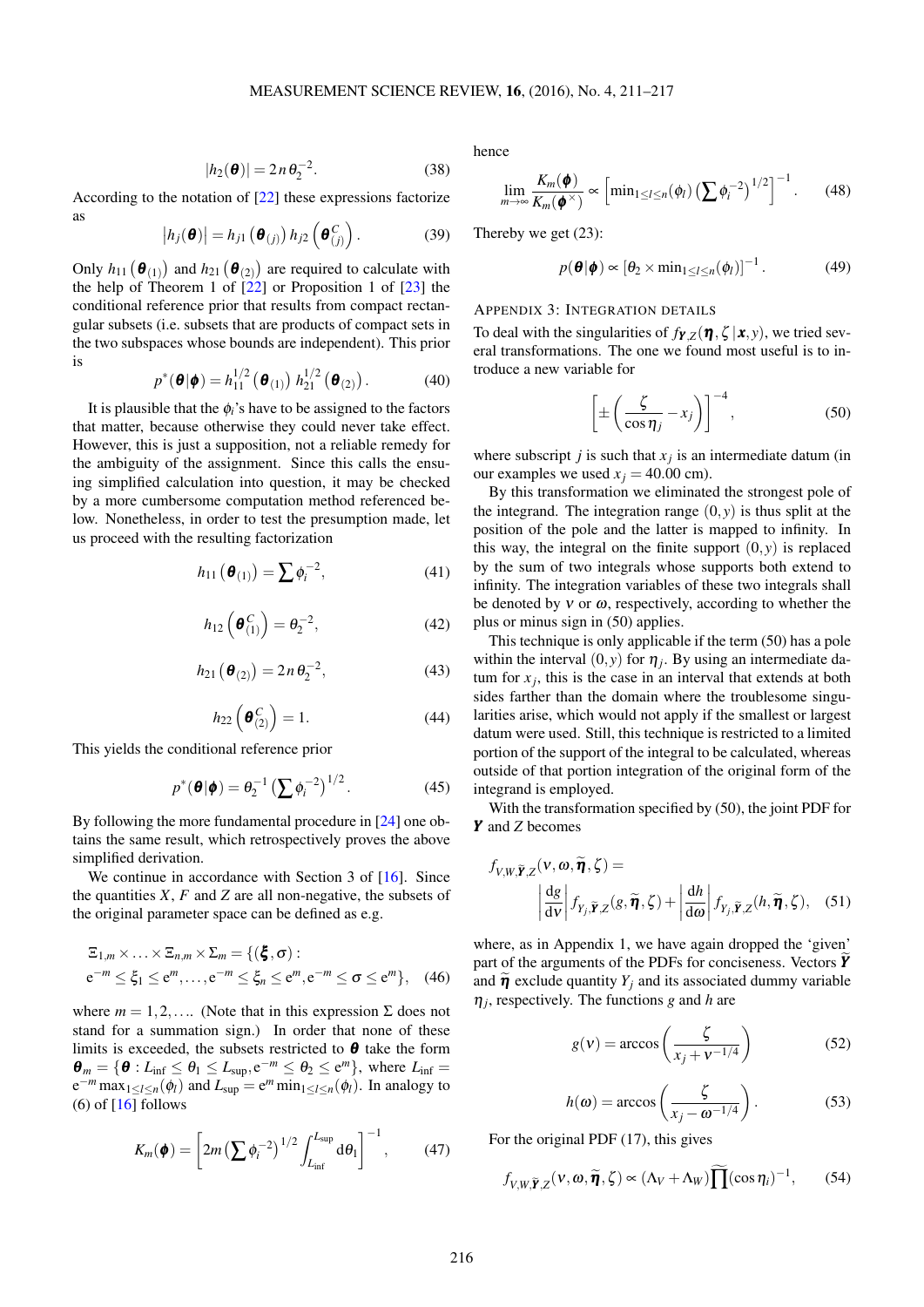$$
|h_2(\boldsymbol{\theta})| = 2n\,\theta_2^{-2}.\tag{38}
$$

According to the notation of [\[22\]](#page-6-17) these expressions factorize as

$$
|h_j(\boldsymbol{\theta})| = h_{j1}(\boldsymbol{\theta}_{(j)}) h_{j2}(\boldsymbol{\theta}_{(j)}^C).
$$
 (39)

Only  $h_{11}(\boldsymbol{\theta}_{(1)})$  and  $h_{21}(\boldsymbol{\theta}_{(2)})$  are required to calculate with the help of Theorem 1 of  $\left[\frac{22}{2}\right]$  or Proposition 1 of  $\left[\frac{23}{2}\right]$  the conditional reference prior that results from compact rectangular subsets (i.e. subsets that are products of compact sets in the two subspaces whose bounds are independent). This prior is

$$
p^*(\boldsymbol{\theta}|\boldsymbol{\phi}) = h_{11}^{1/2}(\boldsymbol{\theta}_{(1)}) h_{21}^{1/2}(\boldsymbol{\theta}_{(2)})
$$
 (40)

It is plausible that the  $\phi_i$ 's have to be assigned to the factors that matter, because otherwise they could never take effect. However, this is just a supposition, not a reliable remedy for the ambiguity of the assignment. Since this calls the ensuing simplified calculation into question, it may be checked by a more cumbersome computation method referenced below. Nonetheless, in order to test the presumption made, let us proceed with the resulting factorization

$$
h_{11}\left(\boldsymbol{\theta}_{(1)}\right) = \sum \phi_i^{-2},\tag{41}
$$

$$
h_{12}\left(\boldsymbol{\theta}_{(1)}^C\right) = \boldsymbol{\theta}_2^{-2},\tag{42}
$$

$$
h_{21}(\mathbf{\Theta}_{(2)}) = 2n\,\theta_2^{-2},\tag{43}
$$

$$
h_{22}\left(\boldsymbol{\theta}_{(2)}^C\right) = 1. \tag{44}
$$

This yields the conditional reference prior

$$
p^*(\boldsymbol{\theta}|\boldsymbol{\phi}) = \theta_2^{-1} \left(\sum \phi_i^{-2}\right)^{1/2}.
$$
 (45)

By following the more fundamental procedure in [\[24\]](#page-6-19) one obtains the same result, which retrospectively proves the above simplified derivation.

We continue in accordance with Section 3 of [\[16\]](#page-6-11). Since the quantities  $X$ ,  $F$  and  $Z$  are all non-negative, the subsets of the original parameter space can be defined as e.g.

$$
\begin{aligned} \n\Xi_{1,m} \times \ldots \times \Xi_{n,m} \times \Sigma_m &= \{ (\boldsymbol{\xi}, \sigma) : \\ \n\mathbf{e}^{-m} &\leq \xi_1 \leq \mathbf{e}^m, \ldots, \mathbf{e}^{-m} \leq \xi_n \leq \mathbf{e}^m, \mathbf{e}^{-m} \leq \sigma \leq \mathbf{e}^m \}, \quad (46) \n\end{aligned}
$$

where  $m = 1, 2, \dots$  (Note that in this expression  $\Sigma$  does not stand for a summation sign.) In order that none of these limits is exceeded, the subsets restricted to  $\theta$  take the form  $\boldsymbol{\theta}_m = \{ \boldsymbol{\theta} : L_{\text{inf}} \leq \theta_1 \leq L_{\text{sup}}, e^{-m} \leq \theta_2 \leq e^m \}, \text{ where } L_{\text{inf}} =$  $e^{-m} \max_{1 \leq l \leq n} (\phi_l)$  and  $L_{\sup} = e^m \min_{1 \leq l \leq n} (\phi_l)$ . In analogy to (6) of  $[16]$  follows

$$
K_m(\boldsymbol{\phi}) = \left[2m\left(\sum \phi_i^{-2}\right)^{1/2} \int_{L_{\inf}}^{L_{\sup}} d\theta_1\right]^{-1},\qquad(47)
$$

hence

$$
\lim_{m \to \infty} \frac{K_m(\boldsymbol{\phi})}{K_m(\boldsymbol{\phi}^\times)} \propto \left[ \min_{1 \leq l \leq n} (\phi_l) \left( \sum \phi_l^{-2} \right)^{1/2} \right]^{-1} . \tag{48}
$$

Thereby we get [\(23\)](#page-2-4):

$$
p(\boldsymbol{\theta}|\boldsymbol{\phi}) \propto [\theta_2 \times \min_{1 \leq l \leq n} (\phi_l)]^{-1}.
$$
 (49)

# APPENDIX 3: INTEGRATION DETAILS

To deal with the singularities of  $f_{\boldsymbol{Y},Z}(\boldsymbol{\eta}, \zeta | \boldsymbol{x}, y)$ , we tried several transformations. The one we found most useful is to introduce a new variable for

<span id="page-5-0"></span>
$$
\left[\pm\left(\frac{\zeta}{\cos\eta_j} - x_j\right)\right]^{-4},\tag{50}
$$

where subscript  $j$  is such that  $x_j$  is an intermediate datum (in our examples we used  $x_i = 40.00$  cm).

By this transformation we eliminated the strongest pole of the integrand. The integration range  $(0, y)$  is thus split at the position of the pole and the latter is mapped to infinity. In this way, the integral on the finite support  $(0, y)$  is replaced by the sum of two integrals whose supports both extend to infinity. The integration variables of these two integrals shall be denoted by  $v$  or  $\omega$ , respectively, according to whether the plus or minus sign in [\(50\)](#page-5-0) applies.

This technique is only applicable if the term [\(50\)](#page-5-0) has a pole within the interval  $(0, y)$  for  $\eta_j$ . By using an intermediate datum for  $x_j$ , this is the case in an interval that extends at both sides farther than the domain where the troublesome singularities arise, which would not apply if the smallest or largest datum were used. Still, this technique is restricted to a limited portion of the support of the integral to be calculated, whereas outside of that portion integration of the original form of the integrand is employed.

With the transformation specified by [\(50\)](#page-5-0), the joint PDF for *Y* and *Z* becomes

$$
f_{V,W,\widetilde{\boldsymbol{Y}},Z}(v,\omega,\widetilde{\boldsymbol{\eta}},\zeta) = \left| \frac{dg}{dv} \right| f_{Y_j,\widetilde{\boldsymbol{Y}},Z}(g,\widetilde{\boldsymbol{\eta}},\zeta) + \left| \frac{dh}{d\omega} \right| f_{Y_j,\widetilde{\boldsymbol{Y}},Z}(h,\widetilde{\boldsymbol{\eta}},\zeta), \quad (51)
$$

where, as in Appendix 1, we have again dropped the 'given' part of the arguments of the PDFs for conciseness. Vectors **Y** and  $\widetilde{\eta}$  exclude quantity  $Y_i$  and its associated dummy variable  $\eta_j$ , respectively. The functions *g* and *h* are

<span id="page-5-1"></span>
$$
g(v) = \arccos\left(\frac{\zeta}{x_j + v^{-1/4}}\right) \tag{52}
$$

$$
h(\omega) = \arccos\left(\frac{\zeta}{x_j - \omega^{-1/4}}\right). \tag{53}
$$

<span id="page-5-2"></span>For the original PDF [\(17\)](#page-1-5), this gives

$$
f_{V,W,\widetilde{\boldsymbol{Y}},Z}(\boldsymbol{v},\boldsymbol{\omega},\widetilde{\boldsymbol{\eta}},\zeta)\propto(\Lambda_V+\Lambda_W)\widetilde{\prod}(\cos\eta_i)^{-1},\qquad(54)
$$